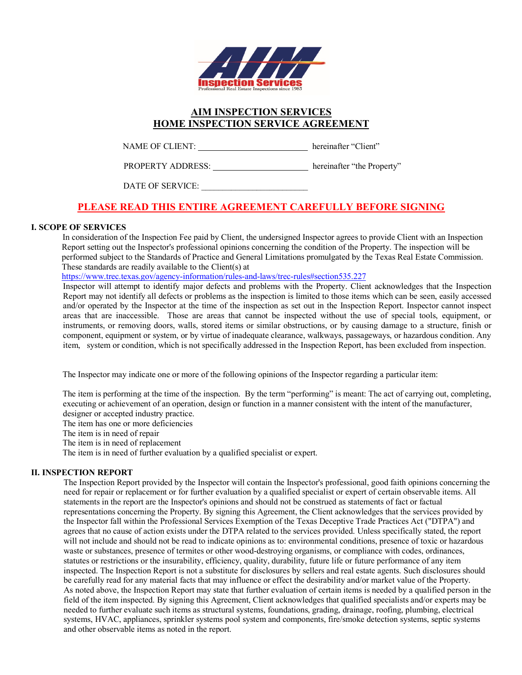

# **AIM INSPECTION SERVICES HOME INSPECTION SERVICE AGREEMENT**

NAME OF CLIENT: hereinafter "Client"

PROPERTY ADDRESS: hereinafter "the Property"

DATE OF SERVICE:

# **PLEASE READ THIS ENTIRE AGREEMENT CAREFULLY BEFORE SIGNING**

# **I. SCOPE OF SERVICES**

In consideration of the Inspection Fee paid by Client, the undersigned Inspector agrees to provide Client with an Inspection Report setting out the Inspector's professional opinions concerning the condition of the Property. The inspection will be performed subject to the Standards of Practice and General Limitations promulgated by the Texas Real Estate Commission. These standards are readily available to the Client(s) at

https://www.trec.texas.gov/agency-information/rules-and-laws/trec-rules#section535.227

Inspector will attempt to identify major defects and problems with the Property. Client acknowledges that the Inspection Report may not identify all defects or problems as the inspection is limited to those items which can be seen, easily accessed and/or operated by the Inspector at the time of the inspection as set out in the Inspection Report. Inspector cannot inspect areas that are inaccessible. Those are areas that cannot be inspected without the use of special tools, equipment, or instruments, or removing doors, walls, stored items or similar obstructions, or by causing damage to a structure, finish or component, equipment or system, or by virtue of inadequate clearance, walkways, passageways, or hazardous condition. Any item, system or condition, which is not specifically addressed in the Inspection Report, has been excluded from inspection.

The Inspector may indicate one or more of the following opinions of the Inspector regarding a particular item:

The item is performing at the time of the inspection. By the term "performing" is meant: The act of carrying out, completing, executing or achievement of an operation, design or function in a manner consistent with the intent of the manufacturer, designer or accepted industry practice.

The item has one or more deficiencies

The item is in need of repair

The item is in need of replacement

The item is in need of further evaluation by a qualified specialist or expert.

## **II. INSPECTION REPORT**

The Inspection Report provided by the Inspector will contain the Inspector's professional, good faith opinions concerning the need for repair or replacement or for further evaluation by a qualified specialist or expert of certain observable items. All statements in the report are the Inspector's opinions and should not be construed as statements of fact or factual representations concerning the Property. By signing this Agreement, the Client acknowledges that the services provided by the Inspector fall within the Professional Services Exemption of the Texas Deceptive Trade Practices Act ("DTPA") and agrees that no cause of action exists under the DTPA related to the services provided. Unless specifically stated, the report will not include and should not be read to indicate opinions as to: environmental conditions, presence of toxic or hazardous waste or substances, presence of termites or other wood-destroying organisms, or compliance with codes, ordinances, statutes or restrictions or the insurability, efficiency, quality, durability, future life or future performance of any item inspected. The Inspection Report is not a substitute for disclosures by sellers and real estate agents. Such disclosures should be carefully read for any material facts that may influence or effect the desirability and/or market value of the Property. As noted above, the Inspection Report may state that further evaluation of certain items is needed by a qualified person in the field of the item inspected. By signing this Agreement, Client acknowledges that qualified specialists and/or experts may be needed to further evaluate such items as structural systems, foundations, grading, drainage, roofing, plumbing, electrical systems, HVAC, appliances, sprinkler systems pool system and components, fire/smoke detection systems, septic systems and other observable items as noted in the report.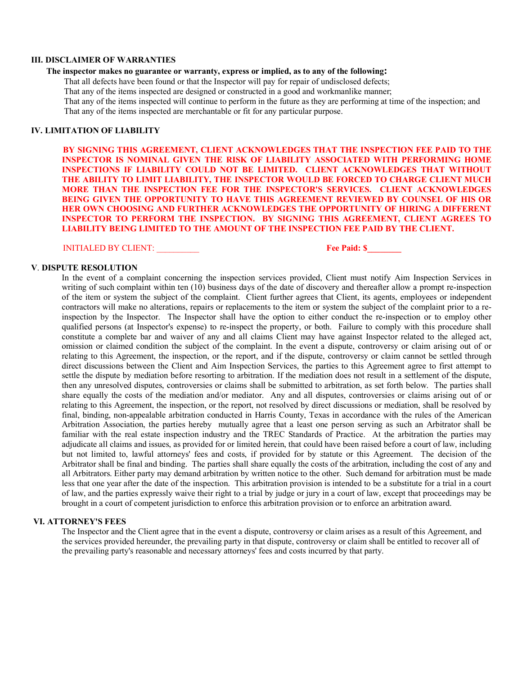#### **III. DISCLAIMER OF WARRANTIES**

#### **The inspector makes no guarantee or warranty, express or implied, as to any of the following:**

That all defects have been found or that the Inspector will pay for repair of undisclosed defects;

That any of the items inspected are designed or constructed in a good and workmanlike manner;

That any of the items inspected will continue to perform in the future as they are performing at time of the inspection; and That any of the items inspected are merchantable or fit for any particular purpose.

#### **IV. LIMITATION OF LIABILITY**

**BY SIGNING THIS AGREEMENT, CLIENT ACKNOWLEDGES THAT THE INSPECTION FEE PAID TO THE INSPECTOR IS NOMINAL GIVEN THE RISK OF LIABILITY ASSOCIATED WITH PERFORMING HOME INSPECTIONS IF LIABILITY COULD NOT BE LIMITED. CLIENT ACKNOWLEDGES THAT WITHOUT THE ABILITY TO LIMIT LIABILITY, THE INSPECTOR WOULD BE FORCED TO CHARGE CLIENT MUCH MORE THAN THE INSPECTION FEE FOR THE INSPECTOR'S SERVICES. CLIENT ACKNOWLEDGES BEING GIVEN THE OPPORTUNITY TO HAVE THIS AGREEMENT REVIEWED BY COUNSEL OF HIS OR HER OWN CHOOSING AND FURTHER ACKNOWLEDGES THE OPPORTUNITY OF HIRING A DIFFERENT INSPECTOR TO PERFORM THE INSPECTION. BY SIGNING THIS AGREEMENT, CLIENT AGREES TO LIABILITY BEING LIMITED TO THE AMOUNT OF THE INSPECTION FEE PAID BY THE CLIENT.**

INITIALED BY CLIENT: \_\_\_\_\_\_\_\_\_\_ **Fee Paid: \$\_\_\_\_\_\_\_\_**

#### **V**. **DISPUTE RESOLUTION**

In the event of a complaint concerning the inspection services provided, Client must notify Aim Inspection Services in writing of such complaint within ten (10) business days of the date of discovery and thereafter allow a prompt re-inspection of the item or system the subject of the complaint. Client further agrees that Client, its agents, employees or independent contractors will make no alterations, repairs or replacements to the item or system the subject of the complaint prior to a reinspection by the Inspector. The Inspector shall have the option to either conduct the re-inspection or to employ other qualified persons (at Inspector's expense) to re-inspect the property, or both. Failure to comply with this procedure shall constitute a complete bar and waiver of any and all claims Client may have against Inspector related to the alleged act, omission or claimed condition the subject of the complaint. In the event a dispute, controversy or claim arising out of or relating to this Agreement, the inspection, or the report, and if the dispute, controversy or claim cannot be settled through direct discussions between the Client and Aim Inspection Services, the parties to this Agreement agree to first attempt to settle the dispute by mediation before resorting to arbitration. If the mediation does not result in a settlement of the dispute, then any unresolved disputes, controversies or claims shall be submitted to arbitration, as set forth below. The parties shall share equally the costs of the mediation and/or mediator. Any and all disputes, controversies or claims arising out of or relating to this Agreement, the inspection, or the report, not resolved by direct discussions or mediation, shall be resolved by final, binding, non-appealable arbitration conducted in Harris County, Texas in accordance with the rules of the American Arbitration Association, the parties hereby mutually agree that a least one person serving as such an Arbitrator shall be familiar with the real estate inspection industry and the TREC Standards of Practice. At the arbitration the parties may adjudicate all claims and issues, as provided for or limited herein, that could have been raised before a court of law, including but not limited to, lawful attorneys' fees and costs, if provided for by statute or this Agreement. The decision of the Arbitrator shall be final and binding. The parties shall share equally the costs of the arbitration, including the cost of any and all Arbitrators. Either party may demand arbitration by written notice to the other. Such demand for arbitration must be made less that one year after the date of the inspection. This arbitration provision is intended to be a substitute for a trial in a court of law, and the parties expressly waive their right to a trial by judge or jury in a court of law, except that proceedings may be brought in a court of competent jurisdiction to enforce this arbitration provision or to enforce an arbitration award.

#### **VI. ATTORNEY'S FEES**

The Inspector and the Client agree that in the event a dispute, controversy or claim arises as a result of this Agreement, and the services provided hereunder, the prevailing party in that dispute, controversy or claim shall be entitled to recover all of the prevailing party's reasonable and necessary attorneys' fees and costs incurred by that party.